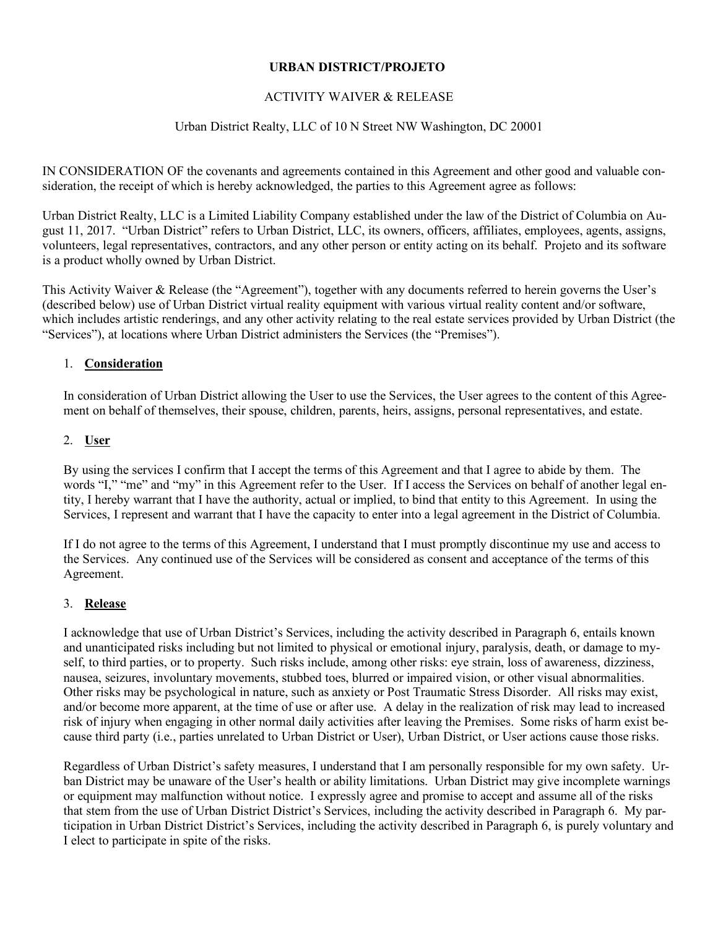### **URBAN DISTRICT/PROJETO**

## ACTIVITY WAIVER & RELEASE

### Urban District Realty, LLC of 10 N Street NW Washington, DC 20001

IN CONSIDERATION OF the covenants and agreements contained in this Agreement and other good and valuable consideration, the receipt of which is hereby acknowledged, the parties to this Agreement agree as follows:

Urban District Realty, LLC is a Limited Liability Company established under the law of the District of Columbia on August 11, 2017. "Urban District" refers to Urban District, LLC, its owners, officers, affiliates, employees, agents, assigns, volunteers, legal representatives, contractors, and any other person or entity acting on its behalf. Projeto and its software is a product wholly owned by Urban District.

This Activity Waiver & Release (the "Agreement"), together with any documents referred to herein governs the User's (described below) use of Urban District virtual reality equipment with various virtual reality content and/or software, which includes artistic renderings, and any other activity relating to the real estate services provided by Urban District (the "Services"), at locations where Urban District administers the Services (the "Premises").

#### 1. **Consideration**

In consideration of Urban District allowing the User to use the Services, the User agrees to the content of this Agreement on behalf of themselves, their spouse, children, parents, heirs, assigns, personal representatives, and estate.

#### 2. **User**

By using the services I confirm that I accept the terms of this Agreement and that I agree to abide by them. The words "I," "me" and "my" in this Agreement refer to the User. If I access the Services on behalf of another legal entity, I hereby warrant that I have the authority, actual or implied, to bind that entity to this Agreement. In using the Services, I represent and warrant that I have the capacity to enter into a legal agreement in the District of Columbia.

If I do not agree to the terms of this Agreement, I understand that I must promptly discontinue my use and access to the Services. Any continued use of the Services will be considered as consent and acceptance of the terms of this Agreement.

#### 3. **Release**

I acknowledge that use of Urban District's Services, including the activity described in Paragraph 6, entails known and unanticipated risks including but not limited to physical or emotional injury, paralysis, death, or damage to myself, to third parties, or to property. Such risks include, among other risks: eye strain, loss of awareness, dizziness, nausea, seizures, involuntary movements, stubbed toes, blurred or impaired vision, or other visual abnormalities. Other risks may be psychological in nature, such as anxiety or Post Traumatic Stress Disorder. All risks may exist, and/or become more apparent, at the time of use or after use. A delay in the realization of risk may lead to increased risk of injury when engaging in other normal daily activities after leaving the Premises. Some risks of harm exist because third party (i.e., parties unrelated to Urban District or User), Urban District, or User actions cause those risks.

Regardless of Urban District's safety measures, I understand that I am personally responsible for my own safety. Urban District may be unaware of the User's health or ability limitations. Urban District may give incomplete warnings or equipment may malfunction without notice. I expressly agree and promise to accept and assume all of the risks that stem from the use of Urban District District's Services, including the activity described in Paragraph 6. My participation in Urban District District's Services, including the activity described in Paragraph 6, is purely voluntary and I elect to participate in spite of the risks.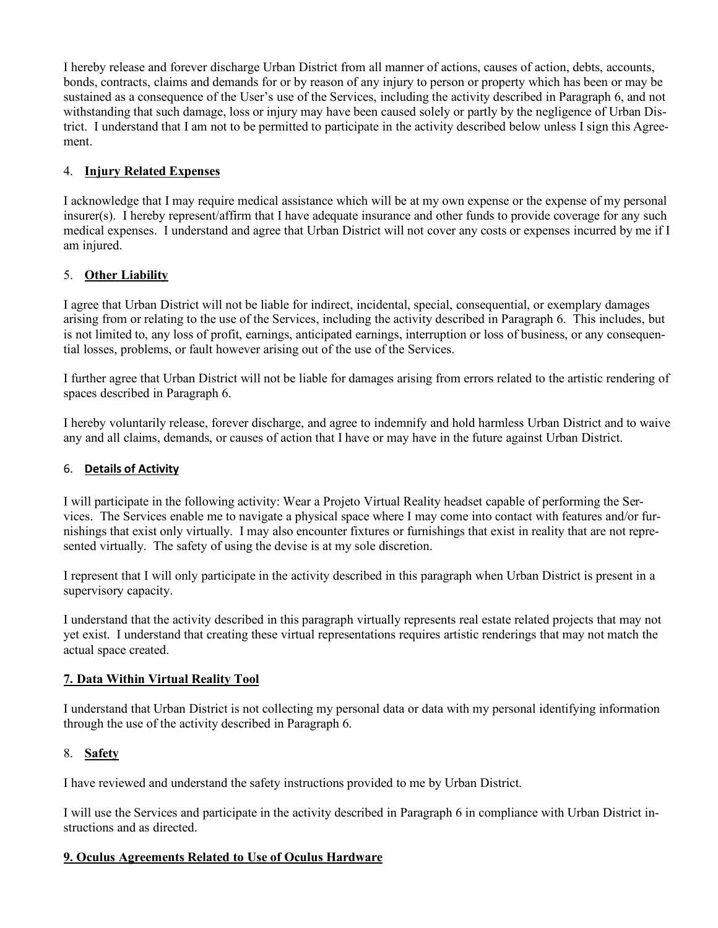I hereby release and forever discharge Urban District from all manner of actions, causes of action, debts, accounts, bonds, contracts, claims and demands for or by reason of any injury to person or property which has been or may be sustained as a consequence of the User's use of the Services, including the activity described in Paragraph 6, and not withstanding that such damage, loss or injury may have been caused solely or partly by the negligence of Urban District. I understand that I am not to be permitted to participate in the activity described below unless I sign this Agreement.

# 4. **Injury Related Expenses**

I acknowledge that I may require medical assistance which will be at my own expense or the expense of my personal  $\infty$  insurer(s). I hereby represent/affirm that I have adequate insurance and other funds to provide coverage for any such medical expenses. I understand and agree that Urban District will not cover any costs or expenses incurred by me if I am injured.

# 5. **Other Liability**

I agree that Urban District will not be liable for indirect, incidental, special, consequential, or exemplary damages arising from or relating to the use of the Services, including the activity described in Paragraph 6. This includes, but is not limited to, any loss of profit, earnings, anticipated earnings, interruption or loss of business, or any consequential losses, problems, or fault however arising out of the use of the Services.

I further agree that Urban District will not be liable for damages arising from errors related to the artistic rendering of spaces described in Paragraph 6.

I hereby voluntarily release, forever discharge, and agree to indemnify and hold harmless Urban District and to waive any and all claims, demands, or causes of action that I have or may have in the future against Urban District.

## 6. **Details of Activity**

I will participate in the following activity: Wear a Projeto Virtual Reality headset capable of performing the Services. The Services enable me to navigate a physical space where I may come into contact with features and/or furnishings that exist only virtually. I may also encounter fixtures or furnishings that exist in reality that are not represented virtually. The safety of using the devise is at my sole discretion.

I represent that I will only participate in the activity described in this paragraph when Urban District is present in a supervisory capacity.

I understand that the activity described in this paragraph virtually represents real estate related projects that may not yet exist. I understand that creating these virtual representations requires artistic renderings that may not match the actual space created.

## **7. Data Within Virtual Reality Tool**

I understand that Urban District is not collecting my personal data or data with my personal identifying information through the use of the activity described in Paragraph 6.

## 8. **Safety**

I have reviewed and understand the safety instructions provided to me by Urban District.

I will use the Services and participate in the activity described in Paragraph 6 in compliance with Urban District instructions and as directed.

# **9. Oculus Agreements Related to Use of Oculus Hardware**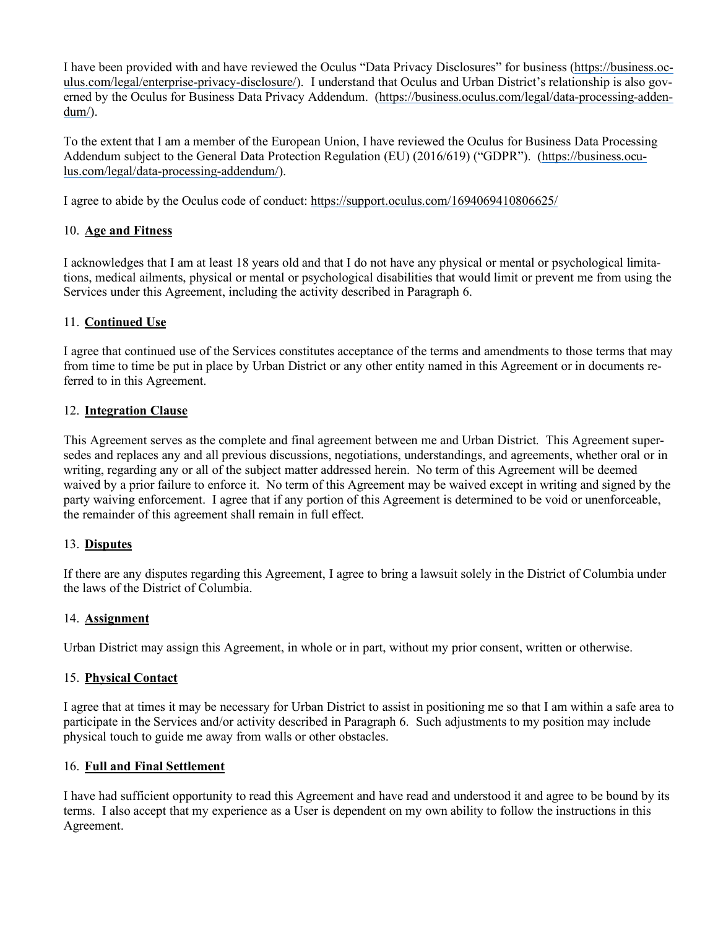I have been provided with and have reviewed the Oculus "Data Privacy Disclosures" for business (https://business.oculus.com/legal/enterprise-privacy-disclosure/). I understand that Oculus and Urban District's relationship is also governed by the Oculus for Business Data Privacy Addendum. (https://business.oculus.com/legal/data-processing-addendum/).

To the extent that I am a member of the European Union, I have reviewed the Oculus for Business Data Processing Addendum subject to the General Data Protection Regulation (EU) (2016/619) ("GDPR"). (https://business.oculus.com/legal/data-processing-addendum/).

I agree to abide by the Oculus code of conduct: https://support.oculus.com/1694069410806625/

## 10. **Age and Fitness**

I acknowledges that I am at least 18 years old and that I do not have any physical or mental or psychological limitations, medical ailments, physical or mental or psychological disabilities that would limit or prevent me from using the Services under this Agreement, including the activity described in Paragraph 6.

### 11. **Continued Use**

I agree that continued use of the Services constitutes acceptance of the terms and amendments to those terms that may from time to time be put in place by Urban District or any other entity named in this Agreement or in documents referred to in this Agreement.

### 12. **Integration Clause**

This Agreement serves as the complete and final agreement between me and Urban District. This Agreement supersedes and replaces any and all previous discussions, negotiations, understandings, and agreements, whether oral or in writing, regarding any or all of the subject matter addressed herein. No term of this Agreement will be deemed waived by a prior failure to enforce it. No term of this Agreement may be waived except in writing and signed by the party waiving enforcement. I agree that if any portion of this Agreement is determined to be void or unenforceable, the remainder of this agreement shall remain in full effect.

## 13. **Disputes**

If there are any disputes regarding this Agreement, I agree to bring a lawsuit solely in the District of Columbia under the laws of the District of Columbia.

#### 14. **Assignment**

Urban District may assign this Agreement, in whole or in part, without my prior consent, written or otherwise.

#### 15. **Physical Contact**

I agree that at times it may be necessary for Urban District to assist in positioning me so that I am within a safe area to participate in the Services and/or activity described in Paragraph 6. Such adjustments to my position may include physical touch to guide me away from walls or other obstacles.

### 16. **Full and Final Settlement**

I have had sufficient opportunity to read this Agreement and have read and understood it and agree to be bound by its terms. I also accept that my experience as a User is dependent on my own ability to follow the instructions in this Agreement.